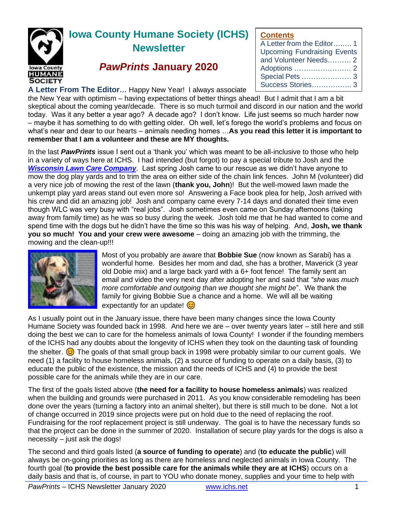

# **Iowa County Humane Society (ICHS) Newsletter**

## *PawPrints* **January 2020**

### **A Letter From The Editor…** Happy New Year! I always associate

the New Year with optimism – having expectations of better things ahead! But I admit that I am a bit skeptical about the coming year/decade. There is so much turmoil and discord in our nation and the world today. Was it any better a year ago? A decade ago? I don't know. Life just seems so much harder now – maybe it has something to do with getting older. Oh well, let's forego the world's problems and focus on what's near and dear to our hearts – animals needing homes …**As you read this letter it is important to remember that I am a volunteer and these are MY thoughts.**

In the last *PawPrints* issue I sent out a 'thank you' which was meant to be all-inclusive to those who help in a variety of ways here at ICHS. I had intended (but forgot) to pay a special tribute to Josh and the *[Wisconsin Lawn Care Company](https://greatlawncare.net/)*. Last spring Josh came to our rescue as we didn't have anyone to mow the dog play yards and to trim the area on either side of the chain link fences. John M (volunteer) did a very nice job of mowing the rest of the lawn (**thank you, John**)! But the well-mowed lawn made the unkempt play yard areas stand out even more so! Answering a Face book plea for help, Josh arrived with his crew and did an amazing job! Josh and company came every 7-14 days and donated their time even though WLC was very busy with "real jobs". Josh sometimes even came on Sunday afternoons (taking away from family time) as he was so busy during the week. Josh told me that he had wanted to come and spend time with the dogs but he didn't have the time so this was his way of helping. And, **Josh, we thank you so much! You and your crew were awesome** – doing an amazing job with the trimming, the mowing and the clean-up!!!



Most of you probably are aware that **Bobbie Sue** (now known as Sarabi) has a wonderful home. Besides her mom and dad, she has a brother, Maverick (3 year old Dobie mix) and a large back yard with a 6+ foot fence! The family sent an email and video the very next day after adopting her and said that *"she was much more comfortable and outgoing than we thought she might be*". We thank the family for giving Bobbie Sue a chance and a home. We will all be waiting expectantly for an update!  $\odot$ 

As I usually point out in the January issue, there have been many changes since the Iowa County Humane Society was founded back in 1998. And here we are – over twenty years later – still here and still doing the best we can to care for the homeless animals of Iowa County! I wonder if the founding members of the ICHS had any doubts about the longevity of ICHS when they took on the daunting task of founding the shelter.  $\odot$  The goals of that small group back in 1998 were probably similar to our current goals. We need (1) a facility to house homeless animals, (2) a source of funding to operate on a daily basis, (3) to educate the public of the existence, the mission and the needs of ICHS and (4) to provide the best possible care for the animals while they are in our care.

The first of the goals listed above (**the need for a facility to house homeless animals**) was realized when the building and grounds were purchased in 2011. As you know considerable remodeling has been done over the years (turning a factory into an animal shelter), but there is still much to be done. Not a lot of change occurred in 2019 since projects were put on hold due to the need of replacing the roof. Fundraising for the roof replacement project is still underway. The goal is to have the necessary funds so that the project can be done in the summer of 2020. Installation of secure play yards for the dogs is also a necessity – just ask the dogs!

The second and third goals listed (**a source of funding to operate**) and (**to educate the public**) will always be on-going priorities as long as there are homeless and neglected animals in Iowa County. The fourth goal (**to provide the best possible care for the animals while they are at ICHS**) occurs on a daily basis and that is, of course, in part to YOU who donate money, supplies and your time to help with

**Contants**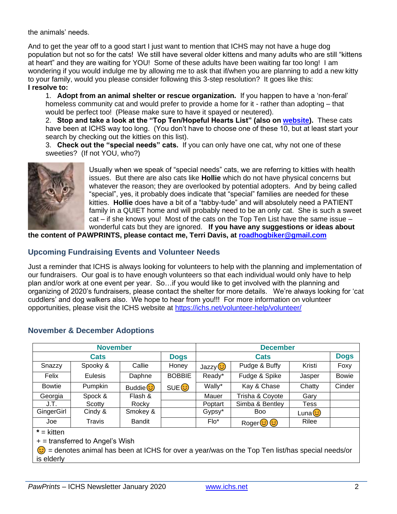the animals' needs.

And to get the year off to a good start I just want to mention that ICHS may not have a huge dog population but not so for the cats! We still have several older kittens and many adults who are still "kittens at heart" and they are waiting for YOU! Some of these adults have been waiting far too long! I am wondering if you would indulge me by allowing me to ask that if/when you are planning to add a new kitty to your family, would you please consider following this 3-step resolution? It goes like this: **I resolve to:**

1. **Adopt from an animal shelter or rescue organization.** If you happen to have a 'non-feral' homeless community cat and would prefer to provide a home for it - rather than adopting – that would be perfect too! (Please make sure to have it spayed or neutered).

2. **Stop and take a look at the "Top Ten/Hopeful Hearts List" (also on [website\)](https://ichs.net/files/4815/7810/2959/ICHS_Hopeful_Hearts_Jan_2020.pdf).** These cats have been at ICHS way too long. (You don't have to choose one of these 10, but at least start your search by checking out the kitties on this list).

3. **Check out the "special needs" cats.** If you can only have one cat, why not one of these sweeties? (If not YOU, who?)



Usually when we speak of "special needs" cats, we are referring to kitties with health issues. But there are also cats like **Hollie** which do not have physical concerns but whatever the reason; they are overlooked by potential adopters. And by being called "special", yes, it probably does indicate that "special" families are needed for these kitties. **Hollie** does have a bit of a "tabby-tude" and will absolutely need a PATIENT family in a QUIET home and will probably need to be an only cat. She is such a sweet cat – if she knows you! Most of the cats on the Top Ten List have the same issue – wonderful cats but they are ignored. **If you have any suggestions or ideas about** 

**the content of PAWPRINTS, please contact me, Terri Davis, at [roadhogbiker@gmail.com](mailto:roadhogbiker@gmail.com)**

## **Upcoming Fundraising Events and Volunteer Needs**

Just a reminder that ICHS is always looking for volunteers to help with the planning and implementation of our fundraisers. Our goal is to have enough volunteers so that each individual would only have to help plan and/or work at one event per year. So…if you would like to get involved with the planning and organizing of 2020's fundraisers, please contact the shelter for more details. We're always looking for 'cat cuddlers' and dog walkers also. We hope to hear from you!!! For more information on volunteer opportunities, please visit the ICHS website at<https://ichs.net/volunteer-help/volunteer/>

| <b>November</b> |                |                |                  | <b>December</b>      |                 |             |              |
|-----------------|----------------|----------------|------------------|----------------------|-----------------|-------------|--------------|
| <b>Cats</b>     |                |                | <b>Dogs</b>      | <b>Cats</b>          |                 |             | <b>Dogs</b>  |
| Snazzy          | Spooky &       | Callie         | Honey            | Jazzy <mark>ෙ</mark> | Pudge & Buffy   | Kristi      | Foxy         |
| Felix           | <b>Eulesis</b> | Daphne         | <b>BOBBIE</b>    | Ready*               | Fudge & Spike   | Jasper      | <b>Bowie</b> |
| <b>Bowtie</b>   | Pumpkin        | Buddie $\odot$ | SUE <sup>3</sup> | Wally*               | Kay & Chase     | Chatty      | Cinder       |
| Georgia         | Spock &        | Flash &        |                  | Mauer                | Trisha & Coyote | Gary        |              |
| J.T.            | Scotty         | Rocky          |                  | Poptart              | Simba & Bentley | Tess        |              |
| GingerGirl      | Cindy &        | Smokey &       |                  | Gypsy*               | <b>Boo</b>      | (َتَّcَاuna |              |
| Joe             | <b>Travis</b>  | <b>Bandit</b>  |                  | $Flo^*$              | Roger 3 3       | Rilee       |              |

## **November & December Adoptions**

**\*** = kitten

 $+$  = transferred to Angel's Wish

 $\bigodot$  = denotes animal has been at ICHS for over a year/was on the Top Ten list/has special needs/or is elderly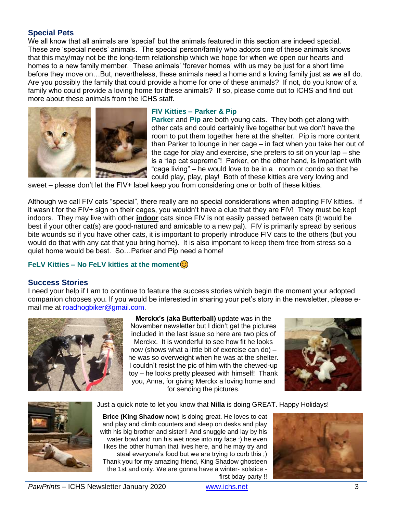## **Special Pets**

We all know that all animals are 'special' but the animals featured in this section are indeed special. These are 'special needs' animals. The special person/family who adopts one of these animals knows that this may/may not be the long-term relationship which we hope for when we open our hearts and homes to a new family member. These animals' 'forever homes' with us may be just for a short time before they move on…But, nevertheless, these animals need a home and a loving family just as we all do. Are you possibly the family that could provide a home for one of these animals? If not, do you know of a family who could provide a loving home for these animals? If so, please come out to ICHS and find out more about these animals from the ICHS staff.



#### **FIV Kitties – Parker & Pip**

**Parker** and **Pip** are both young cats. They both get along with other cats and could certainly live together but we don't have the room to put them together here at the shelter. Pip is more content than Parker to lounge in her cage – in fact when you take her out of the cage for play and exercise, she prefers to sit on your lap – she is a "lap cat supreme"! Parker, on the other hand, is impatient with "cage living" – he would love to be in a room or condo so that he could play, play, play! Both of these kitties are very loving and

sweet – please don't let the FIV+ label keep you from considering one or both of these kitties.

Although we call FIV cats "special", there really are no special considerations when adopting FIV kitties. If it wasn't for the FIV+ sign on their cages, you wouldn't have a clue that they are FIV! They must be kept indoors. They may live with other **indoor** cats since FIV is not easily passed between cats (it would be best if your other cat(s) are good-natured and amicable to a new pal). FIV is primarily spread by serious bite wounds so if you have other cats, it is important to properly introduce FIV cats to the others (but you would do that with any cat that you bring home). It is also important to keep them free from stress so a quiet home would be best. So…Parker and Pip need a home!

#### **FeLV Kitties – No FeLV kitties at the moment**

#### **Success Stories**

I need your help if I am to continue to feature the success stories which begin the moment your adopted companion chooses you. If you would be interested in sharing your pet's story in the newsletter, please email me at [roadhogbiker@gmail.com.](mailto:roadhogbiker@gmail.com)



**Merckx's (aka Butterball)** update was in the November newsletter but I didn't get the pictures included in the last issue so here are two pics of Merckx. It is wonderful to see how fit he looks now (shows what a little bit of exercise can do) – he was so overweight when he was at the shelter. I couldn't resist the pic of him with the chewed-up toy – he looks pretty pleased with himself! Thank you, Anna, for giving Merckx a loving home and for sending the pictures.







**Brice (King Shadow** now) is doing great. He loves to eat and play and climb counters and sleep on desks and play with his big brother and sister!! And snuggle and lay by his water bowl and run his wet nose into my face :) he even likes the other human that lives here, and he may try and steal everyone's food but we are trying to curb this ;) Thank you for my amazing friend, King Shadow ghosteen the 1st and only. We are gonna have a winter- solstice first bday party !!